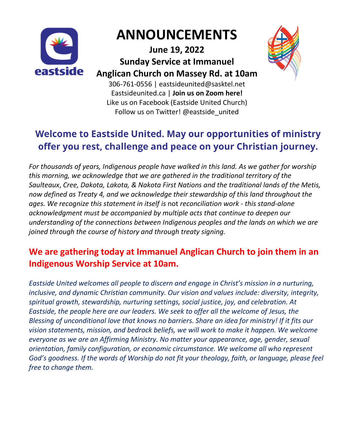

# **ANNOUNCEMENTS**

**June 19, 2022 Sunday Service at Immanuel Anglican Church on Massey Rd. at 10am**



306-761-0556 | eastsideunited@sasktel.net Eastsideunited.ca | **Join us on Zoom [here!](https://urldefense.com/v3/__https:/eastsideunited.us11.list-manage.com/track/click?u=8cc59dd291ea712eef909133f&id=cbf2db74b8&e=722883c426__;!!N8Xdb1VRTUMlZeI!1xyQWvsFKO1j2NSe9m91tUDAExiDjbI5ZxkPtdIWYtFh5ww7BnhKN-mAb0SFAh7B$)** Like us on Facebook (Eastside United Church) Follow us on Twitter! @eastside\_united

### **Welcome to Eastside United. May our opportunities of ministry** offer you rest, challenge and peace on your Christian journey.

*For thousands of years, Indigenous people have walked in this land. As we gather for worship this morning, we acknowledge that we are gathered in the traditional territory of the Saulteaux*, *Cree, Dakota, Lakota, & Nakota First Nations and the traditional lands of the Metis, now defined as Treaty 4, and we acknowledge their stewardship of this land throughout the ages. We recognize this statement in itself is* not *reconciliation work - this stand-alone acknowledgment must be accompanied by multiple acts that continue to deepen our understanding of the connections between Indigenous peoples and the lands on which we are joined through the course of history and through treaty signing.*

### **We are gathering today at Immanuel Anglican Church to join them in an Indigenous Worship Service at 10am.**

*Eastside United welcomes all people to discern and engage in Christ's mission in a nurturing, inclusive, and dynamic Christian community. Our vision and values include: diversity, integrity, spiritual growth, stewardship, nurturing settings, social justice, joy, and celebration. At Eastside, the people here are our leaders. We seek to offer all the welcome of Jesus, the Blessing of unconditional love that knows no barriers. Share an idea for ministry! If it fits our vision statements, mission, and bedrock beliefs, we will work to make it happen. We welcome everyone as we are an Affirming Ministry. No matter your appearance, age, gender, sexual orientation, family configuration, or economic circumstance. We welcome all who represent God's goodness. If the words of Worship do not fit your theology, faith, or language, please feel free to change them.*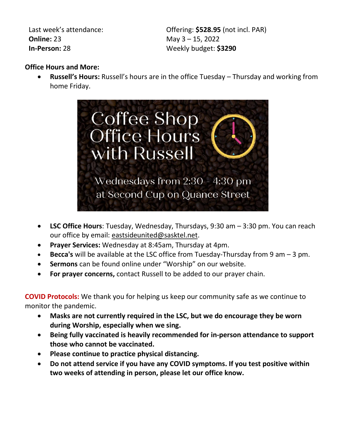Last week's attendance: **Online:** 23 **In-Person:** 28

Offering: **\$528.95** (not incl. PAR) May 3 – 15, 2022 Weekly budget: **\$3290**

#### **Office Hours and More:**

 **Russell's Hours:** Russell's hours are in the office Tuesday – Thursday and working from home Friday.



- **LSC Office Hours**: Tuesday, Wednesday, Thursdays, 9:30 am 3:30 pm. You can reach our office by email: [eastsideunited@sasktel.net.](mailto:eastsideunited@sasktel.net)
- **Prayer Services:** Wednesday at 8:45am, Thursday at 4pm.
- **Becca's** will be available at the LSC office from Tuesday-Thursday from 9 am 3 pm.
- **Sermons** can be found online under "Worship" on our website.
- **For prayer concerns,** contact Russell to be added to our prayer chain.

**COVID Protocols:** We thank you for helping us keep our community safe as we continue to monitor the pandemic.

- **Masks are not currently required in the LSC, but we do encourage they be worn during Worship, especially when we sing.**
- **Being fully vaccinated is heavily recommended for in-person attendance to support those who cannot be vaccinated.**
- **Please continue to practice physical distancing.**
- **Do not attend service if you have any COVID symptoms. If you test positive within two weeks of attending in person, please let our office know.**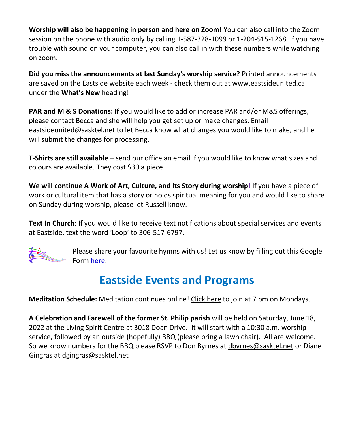**Worship will also be happening in person and [here](https://urldefense.com/v3/__https:/eastsideunited.us11.list-manage.com/track/click?u=8cc59dd291ea712eef909133f&id=cbf2db74b8&e=722883c426__;!!N8Xdb1VRTUMlZeI!1xyQWvsFKO1j2NSe9m91tUDAExiDjbI5ZxkPtdIWYtFh5ww7BnhKN-mAb0SFAh7B$) on Zoom!** You can also call into the Zoom session on the phone with audio only by calling 1-587-328-1099 or 1-204-515-1268. If you have trouble with sound on your computer, you can also call in with these numbers while watching on zoom.

**Did you miss the announcements at last Sunday's worship service?** Printed announcements are saved on the Eastside website each week - check them out at www.eastsideunited.ca under the **What's New** heading!

**PAR and M & S Donations:** If you would like to add or increase PAR and/or M&S offerings, please contact Becca and she will help you get set up or make changes. Email eastsideunited@sasktel.net to let Becca know what changes you would like to make, and he will submit the changes for processing.

**T-Shirts are still available** – send our office an email if you would like to know what sizes and colours are available. They cost \$30 a piece.

**We will continue A Work of Art, Culture, and Its Story during worship!** If you have a piece of work or cultural item that has a story or holds spiritual meaning for you and would like to share on Sunday during worship, please let Russell know.

**Text In Church**: If you would like to receive text notifications about special services and events at Eastside, text the word 'Loop' to 306-517-6797.



Please share your favourite hymns with us! Let us know by filling out this Google Form here.

### **Eastside Events and Programs**

**Meditation Schedule:** Meditation continues online! [Click here](https://zoom.us/j/225411689) to join at 7 pm on Mondays.

**A Celebration and Farewell of the former St. Philip parish** will be held on Saturday, June 18, 2022 at the Living Spirit Centre at 3018 Doan Drive. It will start with a 10:30 a.m. worship service, followed by an outside (hopefully) BBQ (please bring a lawn chair). All are welcome. So we know numbers for the BBQ please RSVP to Don Byrnes at [dbyrnes@sasktel.net](mailto:dbyrnes@sasktel.net) or Diane Gingras at [dgingras@sasktel.net](mailto:dgingras@sasktel.net)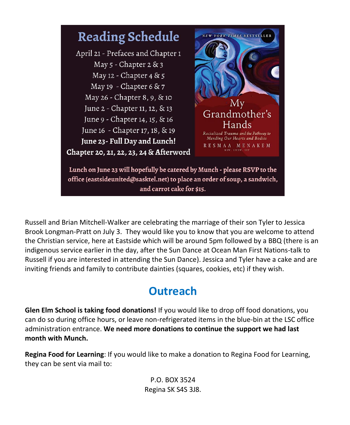

Russell and Brian Mitchell-Walker are celebrating the marriage of their son Tyler to Jessica Brook Longman-Pratt on July 3. They would like you to know that you are welcome to attend the Christian service, here at Eastside which will be around 5pm followed by a BBQ (there is an indigenous service earlier in the day, after the Sun Dance at Ocean Man First Nations-talk to Russell if you are interested in attending the Sun Dance). Jessica and Tyler have a cake and are inviting friends and family to contribute dainties (squares, cookies, etc) if they wish.

## **Outreach**

**Glen Elm School is taking food donations!** If you would like to drop off food donations, you can do so during office hours, or leave non-refrigerated items in the blue-bin at the LSC office administration entrance. **We need more donations to continue the support we had last month with Munch.**

**Regina Food for Learning**: If you would like to make a donation to Regina Food for Learning, they can be sent via mail to:

> P.O. BOX 3524 Regina SK S4S 3J8.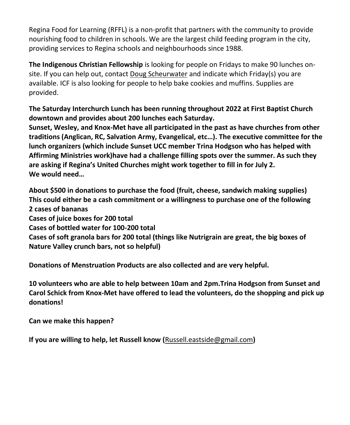Regina Food for Learning (RFFL) is a non-profit that partners with the community to provide nourishing food to children in schools. We are the largest child feeding program in the city, providing services to Regina schools and neighbourhoods since 1988.

**The Indigenous Christian Fellowship** is looking for people on Fridays to make 90 lunches onsite. If you can help out, contact [Doug Scheurwater](mailto:dscheurwater@sasktel.net?subject=ICF%20Lunches%20Volunteering) and indicate which Friday(s) you are available. ICF is also looking for people to help bake cookies and muffins. Supplies are provided.

**The Saturday Interchurch Lunch has been running throughout 2022 at First Baptist Church downtown and provides about 200 lunches each Saturday.**

**Sunset, Wesley, and Knox-Met have all participated in the past as have churches from other traditions (Anglican, RC, Salvation Army, Evangelical, etc…). The executive committee for the lunch organizers (which include Sunset UCC member Trina Hodgson who has helped with Affirming Ministries work)have had a challenge filling spots over the summer. As such they are asking if Regina's United Churches might work together to fill in for July 2. We would need…**

**About \$500 in donations to purchase the food (fruit, cheese, sandwich making supplies) This could either be a cash commitment or a willingness to purchase one of the following 2 cases of bananas Cases of juice boxes for 200 total Cases of bottled water for 100-200 total**

**Cases of soft granola bars for 200 total (things like Nutrigrain are great, the big boxes of Nature Valley crunch bars, not so helpful)**

**Donations of Menstruation Products are also collected and are very helpful.**

**10 volunteers who are able to help between 10am and 2pm.Trina Hodgson from Sunset and Carol Schick from Knox-Met have offered to lead the volunteers, do the shopping and pick up donations!**

**Can we make this happen?**

**If you are willing to help, let Russell know (**[Russell.eastside@gmail.com](mailto:Russell.eastside@gmail.com)**)**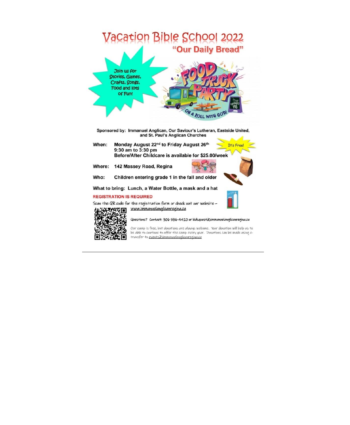